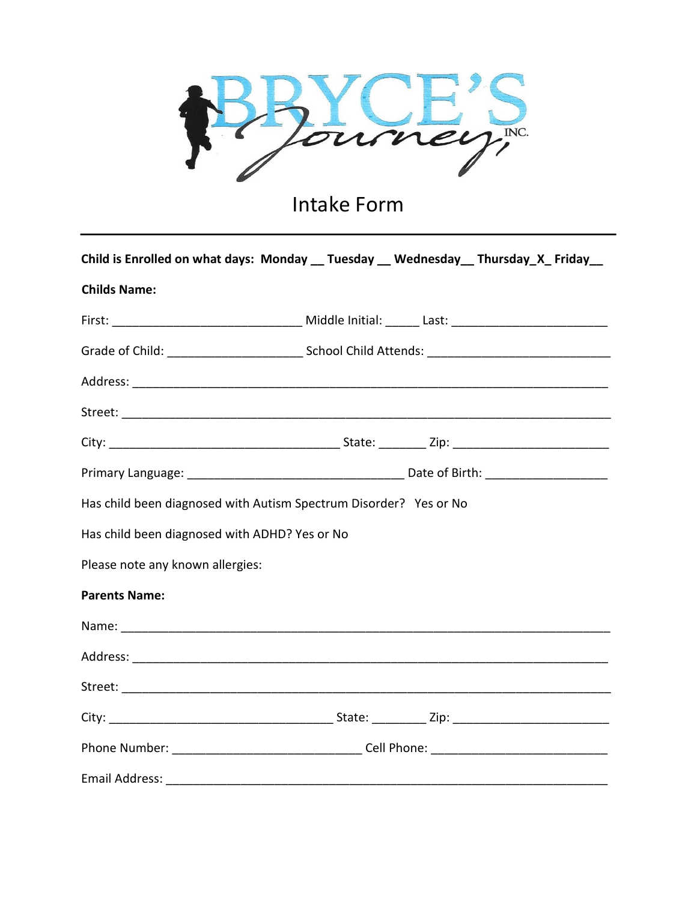

## Intake Form

|                                               | Child is Enrolled on what days: Monday __ Tuesday __ Wednesday __ Thursday_X_ Friday__ |
|-----------------------------------------------|----------------------------------------------------------------------------------------|
| <b>Childs Name:</b>                           |                                                                                        |
|                                               |                                                                                        |
|                                               |                                                                                        |
|                                               |                                                                                        |
|                                               |                                                                                        |
|                                               |                                                                                        |
|                                               |                                                                                        |
|                                               | Has child been diagnosed with Autism Spectrum Disorder? Yes or No                      |
| Has child been diagnosed with ADHD? Yes or No |                                                                                        |
| Please note any known allergies:              |                                                                                        |
| <b>Parents Name:</b>                          |                                                                                        |
|                                               |                                                                                        |
|                                               |                                                                                        |
|                                               |                                                                                        |
|                                               |                                                                                        |
|                                               |                                                                                        |
|                                               |                                                                                        |